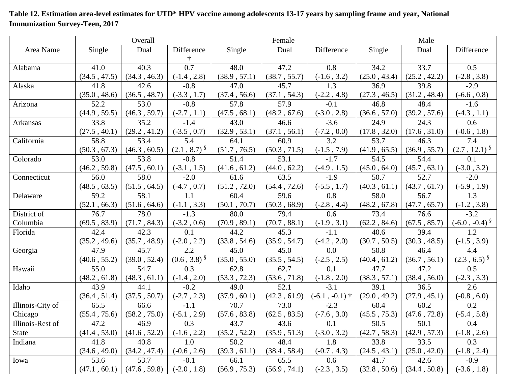## Overall Male Area Name Single Dual Difference † Single Dual Difference Single Dual Difference Alabama 41.0 (34.5 , 47.5) 40.3 (34.3 , 46.3) 0.7 (-1.4 , 2.8) 48.0 (38.9 , 57.1) 47.2 (38.7 , 55.7) 0.8 (-1.6 , 3.2) 34.2 (25.0 , 43.4) 33.7 (25.2 , 42.2) 0.5 (-2.8 , 3.8) Alaska 1.8 (35.0 , 48.6) 42.6 (36.5 , 48.7) -0.8 (-3.3 , 1.7) 47.0 (37.4 , 56.6) 45.7 (37.1 , 54.3) 1.3 (-2.2 , 4.8) 36.9 (27.3 , 46.5) 39.8 (31.2 , 48.4) -2.9 (-6.6 , 0.8) Arizona 52.2 (44.9 , 59.5) 53.0 (46.3 , 59.7) -0.8 (-2.7 , 1.1) 57.8 (47.5 , 68.1) 57.9 (48.2 , 67.6) -0.1 (-3.0 , 2.8) 46.8 (36.6 , 57.0) 48.4 (39.2 , 57.6) -1.6 (-4.3 , 1.1) Arkansas 33.8 (27.5 , 40.1) 35.2 (29.2 , 41.2) -1.4 (-3.5 , 0.7) 43.0 (32.9 , 53.1) 46.6 (37.1 , 56.1) -3.6 (-7.2 , 0.0) 24.9 (17.8 , 32.0) 24.3 (17.6 , 31.0) 0.6 (-0.6 , 1.8) California 58.8 (50.3 , 67.3) 53.4 (46.3 , 60.5) 5.4  $(2.1, 8.7)$ <sup>§</sup> 64.1 (51.7 , 76.5) 60.9 (50.3 , 71.5) 3.2 (-1.5 , 7.9) 53.7 (41.9 , 65.5) 46.3 (36.9 , 55.7) 7.4  $(2.7, 12.1)$ <sup>§</sup> Colorado 53.0 (46.2 , 59.8) 53.8 (47.5 , 60.1) -0.8 (-3.1 , 1.5) 51.4 (41.6 , 61.2) 53.1 (44.0 , 62.2) -1.7 (-4.9 , 1.5) 54.5 (45.0 , 64.0) 54.4 (45.7 , 63.1) 0.1 (-3.0 , 3.2) Connecticut 56.0 (48.5 , 63.5) 58.0 (51.5 , 64.5) -2.0 (-4.7 , 0.7) 61.6 (51.2 , 72.0) 63.5 (54.4 , 72.6) -1.9 (-5.5 , 1.7) 50.7 (40.3 , 61.1) 52.7 (43.7 , 61.7) -2.0 (-5.9 , 1.9) Delaware 59.2 (52.1 , 66.3) 58.1 (51.6 , 64.6) 1.1 (-1.1 , 3.3) 60.4 (50.1 , 70.7) 59.6 (50.3 , 68.9) 0.8 (-2.8 , 4.4) 58.0 (48.2 , 67.8) 56.7 (47.7 , 65.7) 1.3 (-1.2 , 3.8) District of Columbia 76.7 (69.5 , 83.9) 78.0 (71.7 , 84.3) -1.3 (-3.2 , 0.6) 80.0 (70.9 , 89.1) 79.4 (70.7 , 88.1) 0.6 (-1.9 , 3.1) 73.4 (62.2 , 84.6) 76.6 (67.5 , 85.7) -3.2  $(-6.0, -0.4)$  \$ Florida 1 42.4 (35.2 , 49.6) 42.3 (35.7 , 48.9) 0.1 (-2.0 , 2.2) 44.2 (33.8 , 54.6) 45.3 (35.9 , 54.7) -1.1  $(-4.2, 2.0)$ 40.6 (30.7 , 50.5) 39.4 (30.3 , 48.5) 1.2 (-1.5 , 3.9) Georgia 17.9 (40.6 , 55.2) 45.7 (39.0 , 52.4) 2.2  $(0.6, 3.8)^{8}$ 45.0 (35.0 , 55.0) 45.0 (35.5 , 54.5) 0.0 (-2.5 , 2.5) 50.8 (40.4 , 61.2) 46.4 (36.7 , 56.1) 4.4  $(2.3, 6.5)^{\S}$ Hawaii 755.0 (48.2 , 61.8) 54.7 (48.3 , 61.1) 0.3 (-1.4 , 2.0) 62.8 (53.3 , 72.3) 62.7 (53.6 , 71.8) 0.1 (-1.8 , 2.0) 47.7 (38.3 , 57.1) 47.2 (38.4 , 56.0)  $\overline{0.5}$ (-2.3 , 3.3) Idaho 43.9 (36.4 , 51.4) 44.1 (37.5 , 50.7) -0.2 (-2.7 , 2.3) 49.0 (37.9 , 60.1) 52.1 (42.3 , 61.9) -3.1  $(-6.1, -0.1)$  † 39.1 (29.0 , 49.2) 36.5 (27.9 , 45.1) 2.6 (-0.8 , 6.0) Illinois-City of Chicago 65.5 (55.4 , 75.6) 66.6 (58.2 , 75.0) -1.1 (-5.1 , 2.9) 70.7 (57.6 , 83.8) 73.0 (62.5 , 83.5) -2.3 (-7.6 , 3.0) 60.4 (45.5 , 75.3) 60.2 (47.6 , 72.8) 0.2 (-5.4 , 5.8) Illinois-Rest of State 47.2 (41.4 , 53.0) 46.9 (41.6 , 52.2) 0.3 (-1.6 , 2.2) 43.7 (35.2 , 52.2) 43.6 (35.9 , 51.3) 0.1 (-3.0 , 3.2) 50.5 (42.7 , 58.3) 50.1 (42.9 , 57.3) 0.4 (-1.8 , 2.6) Indiana 1 41.8 (34.6 , 49.0) 40.8 (34.2 , 47.4) 1.0 (-0.6 , 2.6) 50.2 (39.3 , 61.1) 48.4 (38.4 , 58.4) 1.8 (-0.7 , 4.3) 33.8 (24.5 , 43.1) 33.5 (25.0 , 42.0) 0.3 (-1.8 , 2.4) Iowa 53.6  $(47.1, 60.1)$ 53.7 (47.6 , 59.8) -0.1 (-2.0 , 1.8) 66.1 (56.9 , 75.3) 65.5 (56.9 , 74.1) 0.6 (-2.3 , 3.5) 41.7 (32.8 , 50.6) 42.6 (34.4 , 50.8) -0.9 (-3.6 , 1.8)

## **Table 12. Estimation area-level estimates for UTD\* HPV vaccine among adolescents 13-17 years by sampling frame and year, National Immunization Survey-Teen, 2017**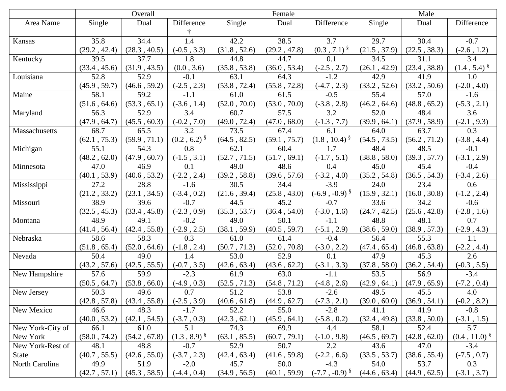|                  | Overall      |              |                   |              | Female       |                            | Male         |              |                           |
|------------------|--------------|--------------|-------------------|--------------|--------------|----------------------------|--------------|--------------|---------------------------|
| Area Name        | Single       | Dual         | Difference        | Single       | Dual         | Difference                 | Single       | Dual         | Difference                |
|                  |              |              |                   |              |              |                            |              |              |                           |
| Kansas           | 35.8         | 34.4         | 1.4               | 42.2         | 38.5         | 3.7                        | 29.7         | 30.4         | $-0.7$                    |
|                  | (29.2, 42.4) | (28.3, 40.5) | $(-0.5, 3.3)$     | (31.8, 52.6) | (29.2, 47.8) | $(0.3, 7.1)^{\S}$          | (21.5, 37.9) | (22.5, 38.3) | $(-2.6, 1.2)$             |
| Kentucky         | 39.5         | 37.7         | 1.8               | 44.8         | 44.7         | 0.1                        | 34.5         | 31.1         | 3.4                       |
|                  | (33.4, 45.6) | (31.9, 43.5) | (0.0, 3.6)        | (35.8, 53.8) | (36.0, 53.4) | $(-2.5, 2.7)$              | (26.1, 42.9) | (23.4, 38.8) | $(1.4, 5.4)$ <sup>§</sup> |
| Louisiana        | 52.8         | 52.9         | $-0.1$            | 63.1         | 64.3         | $-1.2$                     | 42.9         | 41.9         | 1.0                       |
|                  | (45.9, 59.7) | (46.6, 59.2) | $(-2.5, 2.3)$     | (53.8, 72.4) | (55.8, 72.8) | $(-4.7, 2.3)$              | (33.2, 52.6) | (33.2, 50.6) | $(-2.0, 4.0)$             |
| Maine            | 58.1         | 59.2         | $-1.1$            | 61.0         | 61.5         | $-0.5$                     | 55.4         | 57.0         | $-1.6$                    |
|                  | (51.6, 64.6) | (53.3, 65.1) | $(-3.6, 1.4)$     | (52.0, 70.0) | (53.0, 70.0) | $(-3.8, 2.8)$              | (46.2, 64.6) | (48.8, 65.2) | $(-5.3, 2.1)$             |
| Maryland         | 56.3         | 52.9         | 3.4               | 60.7         | 57.5         | 3.2                        | 52.0         | 48.4         | 3.6                       |
|                  | (47.9, 64.7) | (45.5, 60.3) | $(-0.2, 7.0)$     | (49.0, 72.4) | (47.0, 68.0) | $(-1.3, 7.7)$              | (39.9, 64.1) | (37.9, 58.9) | $(-2.1, 9.3)$             |
| Massachusetts    | 68.7         | 65.5         | 3.2               | 73.5         | 67.4         | 6.1                        | 64.0         | 63.7         | $\overline{0.3}$          |
|                  | (62.1, 75.3) | (59.9, 71.1) | $(0.2, 6.2)^{8}$  | (64.5, 82.5) | (59.1, 75.7) | $(1.8, 10.4)$ <sup>§</sup> | (54.5, 73.5) | (56.2, 71.2) | $(-3.8, 4.4)$             |
| Michigan         | 55.1         | 54.3         | 0.8               | 62.1         | 60.4         | 1.7                        | 48.4         | 48.5         | $-0.1$                    |
|                  | (48.2, 62.0) | (47.9, 60.7) | $(-1.5, 3.1)$     | (52.7, 71.5) | (51.7, 69.1) | $(-1.7, 5.1)$              | (38.8, 58.0) | (39.3, 57.7) | $(-3.1, 2.9)$             |
| Minnesota        | 47.0         | 46.9         | 0.1               | 49.0         | 48.6         | 0.4                        | 45.0         | 45.4         | $-0.4$                    |
|                  | (40.1, 53.9) | (40.6, 53.2) | $(-2.2, 2.4)$     | (39.2, 58.8) | (39.6, 57.6) | $(-3.2, 4.0)$              | (35.2, 54.8) | (36.5, 54.3) | $(-3.4, 2.6)$             |
| Mississippi      | 27.2         | 28.8         | $-1.6$            | 30.5         | 34.4         | $-3.9$                     | 24.0         | 23.4         | 0.6                       |
|                  | (21.2, 33.2) | (23.1, 34.5) | $(-3.4, 0.2)$     | (21.6, 39.4) | (25.8, 43.0) | $(-6.9, -0.9)^{\S}$        | (15.9, 32.1) | (16.0, 30.8) | $(-1.2, 2.4)$             |
| Missouri         | 38.9         | 39.6         | $-0.7$            | 44.5         | 45.2         | $-0.7$                     | 33.6         | 34.2         | $-0.6$                    |
|                  | (32.5, 45.3) | (33.4, 45.8) | $(-2.3, 0.9)$     | (35.3, 53.7) | (36.4, 54.0) | $(-3.0, 1.6)$              | (24.7, 42.5) | (25.6, 42.8) | $(-2.8, 1.6)$             |
| Montana          | 48.9         | 49.1         | $-0.2$            | 49.0         | 50.1         | $-1.1$                     | 48.8         | 48.1         | 0.7                       |
|                  | (41.4, 56.4) | (42.4, 55.8) | $(-2.9, 2.5)$     | (38.1, 59.9) | (40.5, 59.7) | $(-5.1, 2.9)$              | (38.6, 59.0) | (38.9, 57.3) | $(-2.9, 4.3)$             |
| Nebraska         | 58.6         | 58.3         | 0.3               | 61.0         | 61.4         | $-0.4$                     | 56.4         | 55.3         | 1.1                       |
|                  | (51.8, 65.4) | (52.0, 64.6) | $(-1.8, 2.4)$     | (50.7, 71.3) | (52.0, 70.8) | $(-3.0, 2.2)$              | (47.4, 65.4) | (46.8, 63.8) | $(-2.2, 4.4)$             |
| Nevada           | 50.4         | 49.0         | 1.4               | 53.0         | 52.9         | 0.1                        | 47.9         | 45.3         | 2.6                       |
|                  | (43.2, 57.6) | (42.5, 55.5) | $(-0.7, 3.5)$     | (42.6, 63.4) | (43.6, 62.2) | $(-3.1, 3.3)$              | (37.8, 58.0) | (36.2, 54.4) | $(-0.3, 5.5)$             |
| New Hampshire    | 57.6         | 59.9         | $-2.3$            | 61.9         | 63.0         | $-1.1$                     | 53.5         | 56.9         | $-3.4$                    |
|                  | (50.5, 64.7) | (53.8, 66.0) | $(-4.9, 0.3)$     | (52.5, 71.3) | (54.8, 71.2) | $(-4.8, 2.6)$              | (42.9, 64.1) | (47.9, 65.9) | $(-7.2, 0.4)$             |
| New Jersey       | 50.3         | 49.6         | 0.7               | 51.2         | 53.8         | $-2.6$                     | 49.5         | 45.5         | 4.0                       |
|                  | (42.8, 57.8) | (43.4, 55.8) | $(-2.5, 3.9)$     | (40.6, 61.8) | (44.9, 62.7) | $(-7.3, 2.1)$              | (39.0, 60.0) | (36.9, 54.1) | $(-0.2, 8.2)$             |
| New Mexico       | 46.6         | 48.3         | $-1.7$            | 52.2         | 55.0         | $-2.8$                     | 41.1         | 41.9         | $-0.8$                    |
|                  | (40.0, 53.2) | (42.1, 54.5) | $(-3.7, 0.3)$     | (42.3, 62.1) | (45.9, 64.1) | $(-5.8, 0.2)$              | (32.4, 49.8) | (33.8, 50.0) | $(-3.1, 1.5)$             |
| New York-City of | 66.1         | 61.0         | 5.1               | 74.3         | 69.9         | 4.4                        | 58.1         | 52.4         | 5.7                       |
| New York         | (58.0, 74.2) | (54.2, 67.8) | $(1.3, 8.9)^{\S}$ | (63.1, 85.5) | (60.7, 79.1) | $(-1.0, 9.8)$              | (46.5, 69.7) | (42.8, 62.0) | $(0.4, 11.0)^{8}$         |
| New York-Rest of | 48.1         | 48.8         | $-0.7$            | 52.9         | 50.7         | 2.2                        | 43.6         | 47.0         | $-3.4$                    |
| <b>State</b>     | (40.7, 55.5) | (42.6, 55.0) | $(-3.7, 2.3)$     | (42.4, 63.4) | (41.6, 59.8) | $(-2.2, 6.6)$              | (33.5, 53.7) | (38.6, 55.4) | $(-7.5, 0.7)$             |
| North Carolina   | 49.9         | 51.9         | $-2.0$            | 45.7         | 50.0         | $-4.3$                     | 54.0         | 53.7         | 0.3                       |
|                  | (42.7, 57.1) | (45.3, 58.5) | $(-4.4, 0.4)$     | (34.9, 56.5) | (40.1, 59.9) | $(-7.7, -0.9)^{\S}$        | (44.6, 63.4) | (44.9, 62.5) | $(-3.1, 3.7)$             |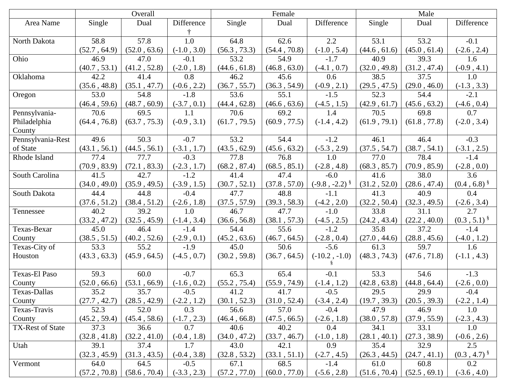|                   | Overall      |              |               |              | Female            |                    | Male         |              |                           |
|-------------------|--------------|--------------|---------------|--------------|-------------------|--------------------|--------------|--------------|---------------------------|
| Area Name         | Single       | Dual         | Difference    | Single       | Dual              | Difference         | Single       | Dual         | Difference                |
|                   |              |              |               |              |                   |                    |              |              |                           |
| North Dakota      | 58.8         | 57.8         | 1.0           | 64.8         | 62.6              | 2.2                | 53.1         | 53.2         | $-0.1$                    |
|                   | (52.7, 64.9) | (52.0, 63.6) | $(-1.0, 3.0)$ | (56.3, 73.3) | (54.4, 70.8)      | $(-1.0, 5.4)$      | (44.6, 61.6) | (45.0, 61.4) | $(-2.6, 2.4)$             |
| Ohio              | 46.9         | 47.0         | $-0.1$        | 53.2         | 54.9              | $-1.7$             | 40.9         | 39.3         | 1.6                       |
|                   | (40.7, 53.1) | (41.2, 52.8) | $(-2.0, 1.8)$ | (44.6, 61.8) | (46.8, 63.0)      | $(-4.1, 0.7)$      | (32.0, 49.8) | (31.2, 47.4) | $(-0.9, 4.1)$             |
| Oklahoma          | 42.2         | 41.4         | 0.8           | 46.2         | 45.6              | 0.6                | 38.5         | 37.5         | 1.0                       |
|                   | (35.6, 48.8) | (35.1, 47.7) | $(-0.6, 2.2)$ | (36.7, 55.7) | (36.3, 54.9)      | $(-0.9, 2.1)$      | (29.5, 47.5) | (29.0, 46.0) | $(-1.3, 3.3)$             |
| Oregon            | 53.0         | 54.8         | $-1.8$        | 53.6         | 55.1              | $-1.5$             | 52.3         | 54.4         | $-2.1$                    |
|                   | (46.4, 59.6) | (48.7, 60.9) | $(-3.7, 0.1)$ | (44.4, 62.8) | (46.6, 63.6)      | $(-4.5, 1.5)$      | (42.9, 61.7) | (45.6, 63.2) | $(-4.6, 0.4)$             |
| Pennsylvania-     | 70.6         | 69.5         | 1.1           | 70.6         | 69.2              | 1.4                | 70.5         | 69.8         | 0.7                       |
| Philadelphia      | (64.4, 76.8) | (63.7, 75.3) | $(-0.9, 3.1)$ | (61.7, 79.5) | (60.9, 77.5)      | $(-1.4, 4.2)$      | (61.9, 79.1) | (61.8, 77.8) | $(-2.0, 3.4)$             |
| County            |              |              |               |              |                   |                    |              |              |                           |
| Pennsylvania-Rest | 49.6         | 50.3         | $-0.7$        | 53.2         | 54.4              | $-1.2$             | 46.1         | 46.4         | $-0.3$                    |
| of State          | (43.1, 56.1) | (44.5, 56.1) | $(-3.1, 1.7)$ | (43.5, 62.9) | (45.6, 63.2)      | $(-5.3, 2.9)$      | (37.5, 54.7) | (38.7, 54.1) | $(-3.1, 2.5)$             |
| Rhode Island      | 77.4         | 77.7         | $-0.3$        | 77.8         | 76.8              | 1.0                | 77.0         | 78.4         | $-1.4$                    |
|                   | (70.9, 83.9) | (72.1, 83.3) | $(-2.3, 1.7)$ | (68.2, 87.4) | (68.5, 85.1)      | $(-2.8, 4.8)$      | (68.3, 85.7) | (70.9, 85.9) | $(-2.8, 0.0)$             |
| South Carolina    | 41.5         | 42.7         | $-1.2$        | 41.4         | 47.4              | $-6.0$             | 41.6         | 38.0         | 3.6                       |
|                   | (34.0, 49.0) | (35.9, 49.5) | $(-3.9, 1.5)$ | (30.7, 52.1) | $(37.8\,,\,57.0)$ | $(-9.8, -2.2)^{8}$ | (31.2, 52.0) | (28.6, 47.4) | $(0.4, 6.8)^{8}$          |
| South Dakota      | 44.4         | 44.8         | $-0.4$        | 47.7         | 48.8              | $-1.1$             | 41.3         | 40.9         | 0.4                       |
|                   | (37.6, 51.2) | (38.4, 51.2) | $(-2.6, 1.8)$ | (37.5, 57.9) | (39.3, 58.3)      | $(-4.2, 2.0)$      | (32.2, 50.4) | (32.3, 49.5) | $(-2.6, 3.4)$             |
| Tennessee         | 40.2         | 39.2         | 1.0           | 46.7         | 47.7              | $-1.0$             | 33.8         | 31.1         | 2.7                       |
|                   | (33.2, 47.2) | (32.5, 45.9) | $(-1.4, 3.4)$ | (36.6, 56.8) | (38.1, 57.3)      | $(-4.5, 2.5)$      | (24.2, 43.4) | (22.2, 40.0) | $(0.3, 5.1)^{\S}$         |
| Texas-Bexar       | 45.0         | 46.4         | $-1.4$        | 54.4         | 55.6              | $-1.2$             | 35.8         | 37.2         | $-1.4$                    |
| County            | (38.5, 51.5) | (40.2, 52.6) | $(-2.9, 0.1)$ | (45.2, 63.6) | (46.7, 64.5)      | $(-2.8, 0.4)$      | (27.0, 44.6) | (28.8, 45.6) | $(-4.0, 1.2)$             |
| Texas-City of     | 53.3         | 55.2         | $-1.9$        | 45.0         | 50.6              | $-5.6$             | 61.3         | 59.7         | 1.6                       |
| Houston           | (43.3, 63.3) | (45.9, 64.5) | $(-4.5, 0.7)$ | (30.2, 59.8) | (36.7, 64.5)      | $(-10.2, -1.0)$    | (48.3, 74.3) | (47.6, 71.8) | $(-1.1, 4.3)$             |
|                   |              |              |               |              |                   |                    |              |              |                           |
| Texas-El Paso     | 59.3         | 60.0         | $-0.7$        | 65.3         | 65.4              | $-0.1$             | 53.3         | 54.6         | $-1.3$                    |
| County            | (52.0, 66.6) | (53.1, 66.9) | $(-1.6, 0.2)$ | (55.2, 75.4) | (55.9, 74.9)      | $(-1.4, 1.2)$      | (42.8, 63.8) | (44.8, 64.4) | $(-2.6, 0.0)$             |
| Texas-Dallas      | 35.2         | 35.7         | $-0.5$        | 41.2         | 41.7              | $-0.5$             | 29.5         | 29.9         | $-0.4$                    |
| County            | (27.7, 42.7) | (28.5, 42.9) | $(-2.2, 1.2)$ | (30.1, 52.3) | (31.0, 52.4)      | $(-3.4, 2.4)$      | (19.7, 39.3) | (20.5, 39.3) | $(-2.2, 1.4)$             |
| Texas-Travis      | 52.3         | 52.0         | 0.3           | 56.6         | 57.0              | $-0.4$             | 47.9         | 46.9         | 1.0                       |
| County            | (45.2, 59.4) | (45.4, 58.6) | $(-1.7, 2.3)$ | (46.4, 66.8) | (47.5, 66.5)      | $(-2.6, 1.8)$      | (38.0, 57.8) | (37.9, 55.9) | $(-2.3, 4.3)$             |
| TX-Rest of State  | 37.3         | 36.6         | 0.7           | 40.6         | 40.2              | 0.4                | 34.1         | 33.1         | 1.0                       |
|                   | (32.8, 41.8) | (32.2, 41.0) | $(-0.4, 1.8)$ | (34.0, 47.2) | (33.7, 46.7)      | $(-1.0, 1.8)$      | (28.1, 40.1) | (27.3, 38.9) | $(-0.6, 2.6)$             |
| Utah              | 39.1         | 37.4         | 1.7           | 43.0         | 42.1              | 0.9                | 35.4         | 32.9         | 2.5                       |
|                   | (32.3, 45.9) | (31.3, 43.5) | $(-0.4, 3.8)$ | (32.8, 53.2) | (33.1, 51.1)      | $(-2.7, 4.5)$      | (26.3, 44.5) | (24.7, 41.1) | $(0.3, 4.7)$ <sup>§</sup> |
| Vermont           | 64.0         | 64.5         | $-0.5$        | 67.1         | 68.5              | $-1.4$             | 61.0         | 60.8         | 0.2                       |
|                   | (57.2, 70.8) | (58.6, 70.4) | $(-3.3, 2.3)$ | (57.2, 77.0) | (60.0, 77.0)      | $(-5.6, 2.8)$      | (51.6, 70.4) | (52.5, 69.1) | $(-3.6, 4.0)$             |